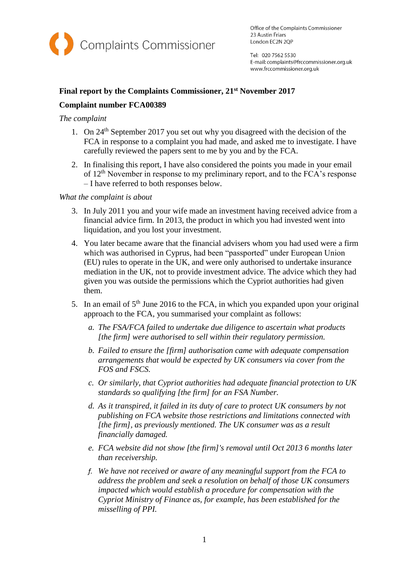

Office of the Complaints Commissioner 23 Austin Friars London EC2N 2QP

Tel: 020 7562 5530 E-mail: complaints@frccommissioner.org.uk www.frccommissioner.org.uk

# **Final report by the Complaints Commissioner, 21st November 2017 Complaint number FCA00389**

# *The complaint*

- 1. On 24th September 2017 you set out why you disagreed with the decision of the FCA in response to a complaint you had made, and asked me to investigate. I have carefully reviewed the papers sent to me by you and by the FCA.
- 2. In finalising this report, I have also considered the points you made in your email of 12th November in response to my preliminary report, and to the FCA's response – I have referred to both responses below.

## *What the complaint is about*

- 3. In July 2011 you and your wife made an investment having received advice from a financial advice firm. In 2013, the product in which you had invested went into liquidation, and you lost your investment.
- 4. You later became aware that the financial advisers whom you had used were a firm which was authorised in Cyprus, had been "passported" under European Union (EU) rules to operate in the UK, and were only authorised to undertake insurance mediation in the UK, not to provide investment advice. The advice which they had given you was outside the permissions which the Cypriot authorities had given them.
- 5. In an email of  $5<sup>th</sup>$  June 2016 to the FCA, in which you expanded upon your original approach to the FCA, you summarised your complaint as follows:
	- *a. The FSA/FCA failed to undertake due diligence to ascertain what products [the firm] were authorised to sell within their regulatory permission.*
	- *b. Failed to ensure the [firm] authorisation came with adequate compensation arrangements that would be expected by UK consumers via cover from the FOS and FSCS.*
	- *c. Or similarly, that Cypriot authorities had adequate financial protection to UK standards so qualifying [the firm] for an FSA Number.*
	- *d. As it transpired, it failed in its duty of care to protect UK consumers by not publishing on FCA website those restrictions and limitations connected with [the firm], as previously mentioned. The UK consumer was as a result financially damaged.*
	- *e. FCA website did not show [the firm]'s removal until Oct 2013 6 months later than receivership.*
	- *f. We have not received or aware of any meaningful support from the FCA to address the problem and seek a resolution on behalf of those UK consumers impacted which would establish a procedure for compensation with the Cypriot Ministry of Finance as, for example, has been established for the misselling of PPI.*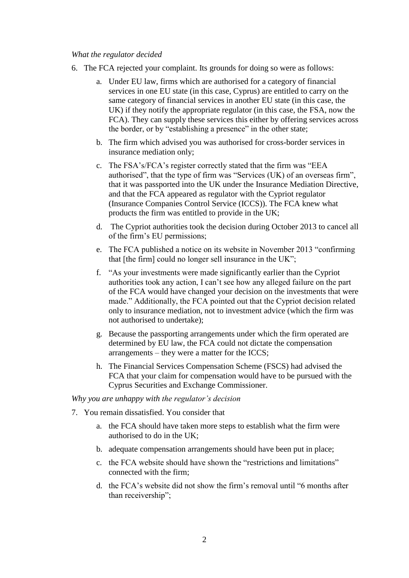#### *What the regulator decided*

- 6. The FCA rejected your complaint. Its grounds for doing so were as follows:
	- a. Under EU law, firms which are authorised for a category of financial services in one EU state (in this case, Cyprus) are entitled to carry on the same category of financial services in another EU state (in this case, the UK) if they notify the appropriate regulator (in this case, the FSA, now the FCA). They can supply these services this either by offering services across the border, or by "establishing a presence" in the other state;
	- b. The firm which advised you was authorised for cross-border services in insurance mediation only;
	- c. The FSA's/FCA's register correctly stated that the firm was "EEA authorised", that the type of firm was "Services (UK) of an overseas firm", that it was passported into the UK under the Insurance Mediation Directive, and that the FCA appeared as regulator with the Cypriot regulator (Insurance Companies Control Service (ICCS)). The FCA knew what products the firm was entitled to provide in the UK;
	- d. The Cypriot authorities took the decision during October 2013 to cancel all of the firm's EU permissions;
	- e. The FCA published a notice on its website in November 2013 "confirming that [the firm] could no longer sell insurance in the UK";
	- f. "As your investments were made significantly earlier than the Cypriot authorities took any action, I can't see how any alleged failure on the part of the FCA would have changed your decision on the investments that were made." Additionally, the FCA pointed out that the Cypriot decision related only to insurance mediation, not to investment advice (which the firm was not authorised to undertake);
	- g. Because the passporting arrangements under which the firm operated are determined by EU law, the FCA could not dictate the compensation arrangements – they were a matter for the ICCS;
	- h. The Financial Services Compensation Scheme (FSCS) had advised the FCA that your claim for compensation would have to be pursued with the Cyprus Securities and Exchange Commissioner.

*Why you are unhappy with the regulator's decision*

- 7. You remain dissatisfied. You consider that
	- a. the FCA should have taken more steps to establish what the firm were authorised to do in the UK;
	- b. adequate compensation arrangements should have been put in place;
	- c. the FCA website should have shown the "restrictions and limitations" connected with the firm;
	- d. the FCA's website did not show the firm's removal until "6 months after than receivership";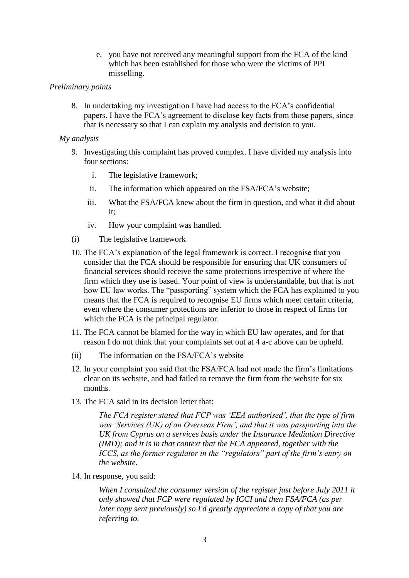e. you have not received any meaningful support from the FCA of the kind which has been established for those who were the victims of PPI misselling.

### *Preliminary points*

8. In undertaking my investigation I have had access to the FCA's confidential papers. I have the FCA's agreement to disclose key facts from those papers, since that is necessary so that I can explain my analysis and decision to you.

### *My analysis*

- 9. Investigating this complaint has proved complex. I have divided my analysis into four sections:
	- i. The legislative framework;
	- ii. The information which appeared on the FSA/FCA's website;
	- iii. What the FSA/FCA knew about the firm in question, and what it did about it;
	- iv. How your complaint was handled.
- (i) The legislative framework
- 10. The FCA's explanation of the legal framework is correct. I recognise that you consider that the FCA should be responsible for ensuring that UK consumers of financial services should receive the same protections irrespective of where the firm which they use is based. Your point of view is understandable, but that is not how EU law works. The "passporting" system which the FCA has explained to you means that the FCA is required to recognise EU firms which meet certain criteria, even where the consumer protections are inferior to those in respect of firms for which the FCA is the principal regulator.
- 11. The FCA cannot be blamed for the way in which EU law operates, and for that reason I do not think that your complaints set out at 4 a-c above can be upheld.
- (ii) The information on the FSA/FCA's website
- 12. In your complaint you said that the FSA/FCA had not made the firm's limitations clear on its website, and had failed to remove the firm from the website for six months.
- 13. The FCA said in its decision letter that:

*The FCA register stated that FCP was 'EEA authorised', that the type of firm was 'Services (UK) of an Overseas Firm', and that it was passporting into the UK from Cyprus on a services basis under the Insurance Mediation Directive (IMD); and it is in that context that the FCA appeared, together with the ICCS, as the former regulator in the "regulators" part of the firm's entry on the website.*

14. In response, you said:

*When I consulted the consumer version of the register just before July 2011 it only showed that FCP were regulated by ICCI and then FSA/FCA (as per later copy sent previously) so I'd greatly appreciate a copy of that you are referring to.*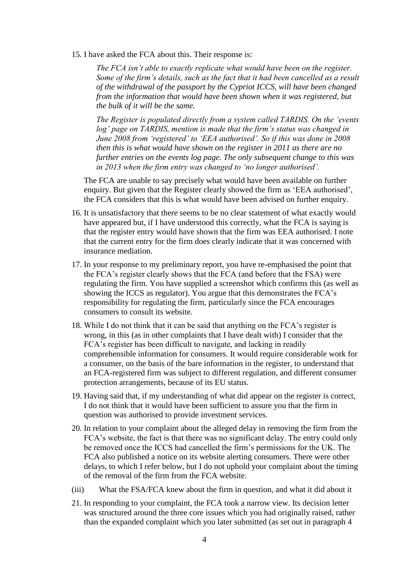15. I have asked the FCA about this. Their response is:

*The FCA isn't able to exactly replicate what would have been on the register. Some of the firm's details, such as the fact that it had been cancelled as a result of the withdrawal of the passport by the Cypriot ICCS, will have been changed from the information that would have been shown when it was registered, but the bulk of it will be the same.*

*The Register is populated directly from a system called TARDIS. On the 'events log' page on TARDIS, mention is made that the firm's status was changed in June 2008 from 'registered' to 'EEA authorised'. So if this was done in 2008 then this is what would have shown on the register in 2011 as there are no further entries on the events log page. The only subsequent change to this was in 2013 when the firm entry was changed to 'no longer authorised'.*

The FCA are unable to say precisely what would have been available on further enquiry. But given that the Register clearly showed the firm as 'EEA authorised', the FCA considers that this is what would have been advised on further enquiry.

- 16. It is unsatisfactory that there seems to be no clear statement of what exactly would have appeared but, if I have understood this correctly, what the FCA is saying is that the register entry would have shown that the firm was EEA authorised. I note that the current entry for the firm does clearly indicate that it was concerned with insurance mediation.
- 17. In your response to my preliminary report, you have re-emphasised the point that the FCA's register clearly shows that the FCA (and before that the FSA) were regulating the firm. You have supplied a screenshot which confirms this (as well as showing the ICCS as regulator). You argue that this demonstrates the FCA's responsibility for regulating the firm, particularly since the FCA encourages consumers to consult its website.
- 18. While I do not think that it can be said that anything on the FCA's register is wrong, in this (as in other complaints that I have dealt with) I consider that the FCA's register has been difficult to navigate, and lacking in readily comprehensible information for consumers. It would require considerable work for a consumer, on the basis of the bare information in the register, to understand that an FCA-registered firm was subject to different regulation, and different consumer protection arrangements, because of its EU status.
- 19. Having said that, if my understanding of what did appear on the register is correct, I do not think that it would have been sufficient to assure you that the firm in question was authorised to provide investment services.
- 20. In relation to your complaint about the alleged delay in removing the firm from the FCA's website, the fact is that there was no significant delay. The entry could only be removed once the ICCS had cancelled the firm's permissions for the UK. The FCA also published a notice on its website alerting consumers. There were other delays, to which I refer below, but I do not uphold your complaint about the timing of the removal of the firm from the FCA website.
- (iii) What the FSA/FCA knew about the firm in question, and what it did about it
- 21. In responding to your complaint, the FCA took a narrow view. Its decision letter was structured around the three core issues which you had originally raised, rather than the expanded complaint which you later submitted (as set out in paragraph 4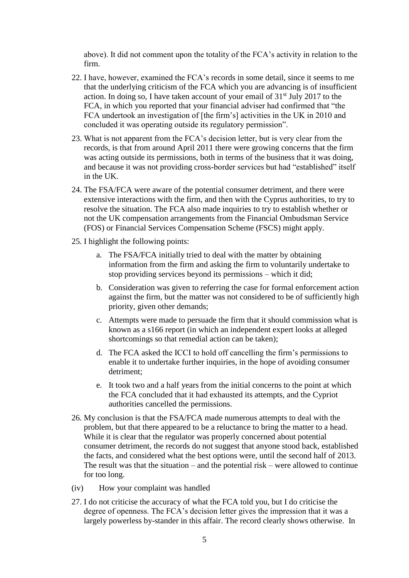above). It did not comment upon the totality of the FCA's activity in relation to the firm.

- 22. I have, however, examined the FCA's records in some detail, since it seems to me that the underlying criticism of the FCA which you are advancing is of insufficient action. In doing so, I have taken account of your email of  $31<sup>st</sup>$  July 2017 to the FCA, in which you reported that your financial adviser had confirmed that "the FCA undertook an investigation of [the firm's] activities in the UK in 2010 and concluded it was operating outside its regulatory permission".
- 23. What is not apparent from the FCA's decision letter, but is very clear from the records, is that from around April 2011 there were growing concerns that the firm was acting outside its permissions, both in terms of the business that it was doing, and because it was not providing cross-border services but had "established" itself in the UK.
- 24. The FSA/FCA were aware of the potential consumer detriment, and there were extensive interactions with the firm, and then with the Cyprus authorities, to try to resolve the situation. The FCA also made inquiries to try to establish whether or not the UK compensation arrangements from the Financial Ombudsman Service (FOS) or Financial Services Compensation Scheme (FSCS) might apply.
- 25. I highlight the following points:
	- a. The FSA/FCA initially tried to deal with the matter by obtaining information from the firm and asking the firm to voluntarily undertake to stop providing services beyond its permissions – which it did;
	- b. Consideration was given to referring the case for formal enforcement action against the firm, but the matter was not considered to be of sufficiently high priority, given other demands;
	- c. Attempts were made to persuade the firm that it should commission what is known as a s166 report (in which an independent expert looks at alleged shortcomings so that remedial action can be taken);
	- d. The FCA asked the ICCI to hold off cancelling the firm's permissions to enable it to undertake further inquiries, in the hope of avoiding consumer detriment;
	- e. It took two and a half years from the initial concerns to the point at which the FCA concluded that it had exhausted its attempts, and the Cypriot authorities cancelled the permissions.
- 26. My conclusion is that the FSA/FCA made numerous attempts to deal with the problem, but that there appeared to be a reluctance to bring the matter to a head. While it is clear that the regulator was properly concerned about potential consumer detriment, the records do not suggest that anyone stood back, established the facts, and considered what the best options were, until the second half of 2013. The result was that the situation – and the potential risk – were allowed to continue for too long.
- (iv) How your complaint was handled
- 27. I do not criticise the accuracy of what the FCA told you, but I do criticise the degree of openness. The FCA's decision letter gives the impression that it was a largely powerless by-stander in this affair. The record clearly shows otherwise. In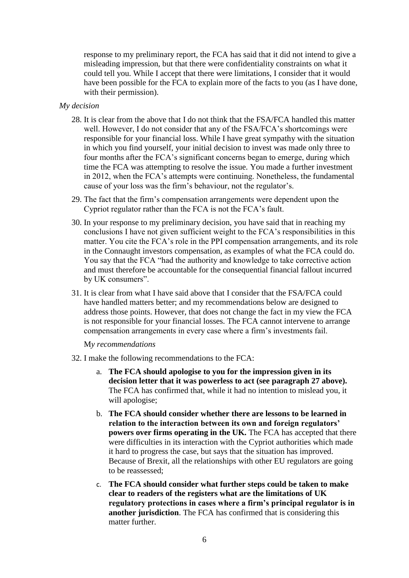response to my preliminary report, the FCA has said that it did not intend to give a misleading impression, but that there were confidentiality constraints on what it could tell you. While I accept that there were limitations, I consider that it would have been possible for the FCA to explain more of the facts to you (as I have done, with their permission).

## *My decision*

- 28. It is clear from the above that I do not think that the FSA/FCA handled this matter well. However, I do not consider that any of the FSA/FCA's shortcomings were responsible for your financial loss. While I have great sympathy with the situation in which you find yourself, your initial decision to invest was made only three to four months after the FCA's significant concerns began to emerge, during which time the FCA was attempting to resolve the issue. You made a further investment in 2012, when the FCA's attempts were continuing. Nonetheless, the fundamental cause of your loss was the firm's behaviour, not the regulator's.
- 29. The fact that the firm's compensation arrangements were dependent upon the Cypriot regulator rather than the FCA is not the FCA's fault.
- 30. In your response to my preliminary decision, you have said that in reaching my conclusions I have not given sufficient weight to the FCA's responsibilities in this matter. You cite the FCA's role in the PPI compensation arrangements, and its role in the Connaught investors compensation, as examples of what the FCA could do. You say that the FCA "had the authority and knowledge to take corrective action and must therefore be accountable for the consequential financial fallout incurred by UK consumers".
- 31. It is clear from what I have said above that I consider that the FSA/FCA could have handled matters better; and my recommendations below are designed to address those points. However, that does not change the fact in my view the FCA is not responsible for your financial losses. The FCA cannot intervene to arrange compensation arrangements in every case where a firm's investments fail.

#### M*y recommendations*

- 32. I make the following recommendations to the FCA:
	- a. **The FCA should apologise to you for the impression given in its decision letter that it was powerless to act (see paragraph 27 above).**  The FCA has confirmed that, while it had no intention to mislead you, it will apologise;
	- b. **The FCA should consider whether there are lessons to be learned in relation to the interaction between its own and foreign regulators' powers over firms operating in the UK.** The FCA has accepted that there were difficulties in its interaction with the Cypriot authorities which made it hard to progress the case, but says that the situation has improved. Because of Brexit, all the relationships with other EU regulators are going to be reassessed;
	- c. **The FCA should consider what further steps could be taken to make clear to readers of the registers what are the limitations of UK regulatory protections in cases where a firm's principal regulator is in another jurisdiction**. The FCA has confirmed that is considering this matter further.